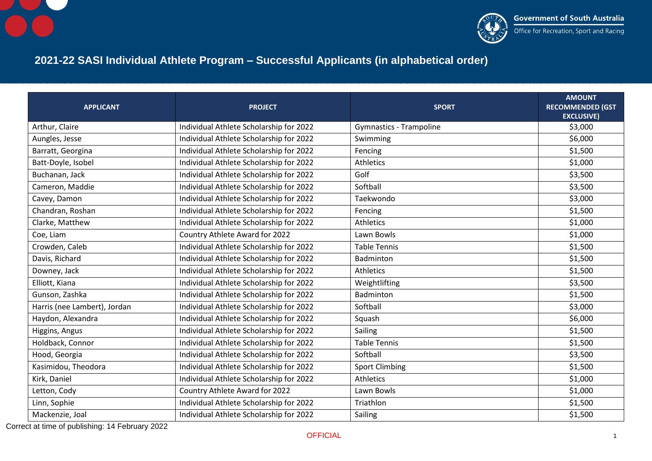



## **2021-22 SASI Individual Athlete Program – Successful Applicants (in alphabetical order)**

| <b>APPLICANT</b>             | <b>PROJECT</b>                          | <b>SPORT</b>                   | <b>AMOUNT</b><br><b>RECOMMENDED (GST</b> |
|------------------------------|-----------------------------------------|--------------------------------|------------------------------------------|
|                              |                                         |                                | <b>EXCLUSIVE)</b>                        |
| Arthur, Claire               | Individual Athlete Scholarship for 2022 | <b>Gymnastics - Trampoline</b> | \$3,000                                  |
| Aungles, Jesse               | Individual Athlete Scholarship for 2022 | Swimming                       | \$6,000                                  |
| Barratt, Georgina            | Individual Athlete Scholarship for 2022 | Fencing                        | \$1,500                                  |
| Batt-Doyle, Isobel           | Individual Athlete Scholarship for 2022 | Athletics                      | \$1,000                                  |
| Buchanan, Jack               | Individual Athlete Scholarship for 2022 | Golf                           | \$3,500                                  |
| Cameron, Maddie              | Individual Athlete Scholarship for 2022 | Softball                       | \$3,500                                  |
| Cavey, Damon                 | Individual Athlete Scholarship for 2022 | Taekwondo                      | \$3,000                                  |
| Chandran, Roshan             | Individual Athlete Scholarship for 2022 | Fencing                        | \$1,500                                  |
| Clarke, Matthew              | Individual Athlete Scholarship for 2022 | <b>Athletics</b>               | \$1,000                                  |
| Coe, Liam                    | Country Athlete Award for 2022          | Lawn Bowls                     | \$1,000                                  |
| Crowden, Caleb               | Individual Athlete Scholarship for 2022 | <b>Table Tennis</b>            | \$1,500                                  |
| Davis, Richard               | Individual Athlete Scholarship for 2022 | <b>Badminton</b>               | \$1,500                                  |
| Downey, Jack                 | Individual Athlete Scholarship for 2022 | <b>Athletics</b>               | \$1,500                                  |
| Elliott, Kiana               | Individual Athlete Scholarship for 2022 | Weightlifting                  | \$3,500                                  |
| Gunson, Zashka               | Individual Athlete Scholarship for 2022 | Badminton                      | \$1,500                                  |
| Harris (nee Lambert), Jordan | Individual Athlete Scholarship for 2022 | Softball                       | \$3,000                                  |
| Haydon, Alexandra            | Individual Athlete Scholarship for 2022 | Squash                         | \$6,000                                  |
| Higgins, Angus               | Individual Athlete Scholarship for 2022 | Sailing                        | \$1,500                                  |
| Holdback, Connor             | Individual Athlete Scholarship for 2022 | <b>Table Tennis</b>            | \$1,500                                  |
| Hood, Georgia                | Individual Athlete Scholarship for 2022 | Softball                       | \$3,500                                  |
| Kasimidou, Theodora          | Individual Athlete Scholarship for 2022 | <b>Sport Climbing</b>          | \$1,500                                  |
| Kirk, Daniel                 | Individual Athlete Scholarship for 2022 | <b>Athletics</b>               | \$1,000                                  |
| Letton, Cody                 | Country Athlete Award for 2022          | Lawn Bowls                     | \$1,000                                  |
| Linn, Sophie                 | Individual Athlete Scholarship for 2022 | <b>Triathlon</b>               | \$1,500                                  |
| Mackenzie, Joal              | Individual Athlete Scholarship for 2022 | Sailing                        | \$1,500                                  |

Correct at time of publishing: 14 February 2022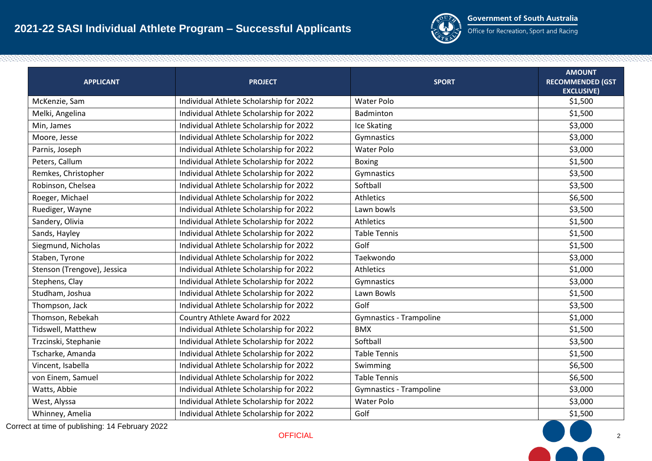

Office for Recreation, Sport and Racing

| <b>APPLICANT</b>            | <b>PROJECT</b>                          | <b>SPORT</b>                   | <b>AMOUNT</b><br><b>RECOMMENDED (GST</b><br><b>EXCLUSIVE)</b> |
|-----------------------------|-----------------------------------------|--------------------------------|---------------------------------------------------------------|
| McKenzie, Sam               | Individual Athlete Scholarship for 2022 | <b>Water Polo</b>              | \$1,500                                                       |
| Melki, Angelina             | Individual Athlete Scholarship for 2022 | Badminton                      | \$1,500                                                       |
| Min, James                  | Individual Athlete Scholarship for 2022 | Ice Skating                    | \$3,000                                                       |
| Moore, Jesse                | Individual Athlete Scholarship for 2022 | Gymnastics                     | \$3,000                                                       |
| Parnis, Joseph              | Individual Athlete Scholarship for 2022 | <b>Water Polo</b>              | \$3,000                                                       |
| Peters, Callum              | Individual Athlete Scholarship for 2022 | <b>Boxing</b>                  | \$1,500                                                       |
| Remkes, Christopher         | Individual Athlete Scholarship for 2022 | Gymnastics                     | \$3,500                                                       |
| Robinson, Chelsea           | Individual Athlete Scholarship for 2022 | Softball                       | \$3,500                                                       |
| Roeger, Michael             | Individual Athlete Scholarship for 2022 | Athletics                      | \$6,500                                                       |
| Ruediger, Wayne             | Individual Athlete Scholarship for 2022 | Lawn bowls                     | \$3,500                                                       |
| Sandery, Olivia             | Individual Athlete Scholarship for 2022 | Athletics                      | \$1,500                                                       |
| Sands, Hayley               | Individual Athlete Scholarship for 2022 | <b>Table Tennis</b>            | \$1,500                                                       |
| Siegmund, Nicholas          | Individual Athlete Scholarship for 2022 | Golf                           | \$1,500                                                       |
| Staben, Tyrone              | Individual Athlete Scholarship for 2022 | Taekwondo                      | \$3,000                                                       |
| Stenson (Trengove), Jessica | Individual Athlete Scholarship for 2022 | Athletics                      | \$1,000                                                       |
| Stephens, Clay              | Individual Athlete Scholarship for 2022 | Gymnastics                     | \$3,000                                                       |
| Studham, Joshua             | Individual Athlete Scholarship for 2022 | Lawn Bowls                     | \$1,500                                                       |
| Thompson, Jack              | Individual Athlete Scholarship for 2022 | Golf                           | \$3,500                                                       |
| Thomson, Rebekah            | Country Athlete Award for 2022          | <b>Gymnastics - Trampoline</b> | \$1,000                                                       |
| Tidswell, Matthew           | Individual Athlete Scholarship for 2022 | <b>BMX</b>                     | \$1,500                                                       |
| Trzcinski, Stephanie        | Individual Athlete Scholarship for 2022 | Softball                       | \$3,500                                                       |
| Tscharke, Amanda            | Individual Athlete Scholarship for 2022 | <b>Table Tennis</b>            | \$1,500                                                       |
| Vincent, Isabella           | Individual Athlete Scholarship for 2022 | Swimming                       | \$6,500                                                       |
| von Einem, Samuel           | Individual Athlete Scholarship for 2022 | <b>Table Tennis</b>            | \$6,500                                                       |
| Watts, Abbie                | Individual Athlete Scholarship for 2022 | <b>Gymnastics - Trampoline</b> | \$3,000                                                       |
| West, Alyssa                | Individual Athlete Scholarship for 2022 | <b>Water Polo</b>              | \$3,000                                                       |
| Whinney, Amelia             | Individual Athlete Scholarship for 2022 | Golf                           | \$1,500                                                       |

Correct at time of publishing: 14 February 2022